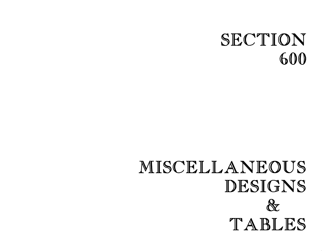## SECTION 600

## MISCELLANEOUS DESIGNS  $\&$ TABLES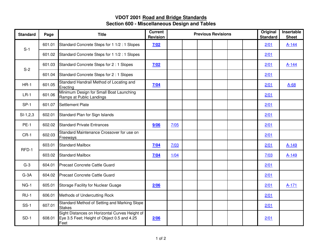## **VDOT 2001 Road and Bridge Standards Section 600 - Miscellaneous Design and Tables**

| <b>Standard</b> | Page   | <b>Title</b>                                                                                          | <b>Current</b><br><b>Revision</b> | <b>Previous Revisions</b> |  |  |  |  |  | Original<br><b>Standard</b> | Insertable<br><b>Sheet</b> |
|-----------------|--------|-------------------------------------------------------------------------------------------------------|-----------------------------------|---------------------------|--|--|--|--|--|-----------------------------|----------------------------|
| $S-1$           | 601.01 | Standard Concrete Steps for 1 1/2 : 1 Slopes                                                          | 7/02                              |                           |  |  |  |  |  | 2/01                        | $A-144$                    |
|                 | 601.02 | Standard Concrete Steps for 1 1/2 : 1 Slopes                                                          |                                   |                           |  |  |  |  |  | 2/01                        |                            |
| $S-2$           | 601.03 | Standard Concrete Steps for 2:1 Slopes                                                                | 7/02                              |                           |  |  |  |  |  | 2/01                        | A-144                      |
|                 | 601.04 | Standard Concrete Steps for 2:1 Slopes                                                                |                                   |                           |  |  |  |  |  | 2/01                        |                            |
| $HR-1$          | 601.05 | Standard Handrail Method of Locating and<br>Erecting                                                  | 7/04                              |                           |  |  |  |  |  | 2/01                        | $A-68$                     |
| $LR-1$          | 601.06 | Minimum Design for Small Boat Launching<br>Ramps at Public Landings                                   |                                   |                           |  |  |  |  |  | 2/01                        |                            |
| $SP-1$          | 601.07 | Settlement Plate                                                                                      |                                   |                           |  |  |  |  |  | 2/01                        |                            |
| $SI-1,2,3$      | 602.01 | Standard Plan for Sign Islands                                                                        |                                   |                           |  |  |  |  |  | 2/01                        |                            |
| <b>PE-1</b>     | 602.02 | <b>Standard Private Entrances</b>                                                                     | 9/06                              | 7/05                      |  |  |  |  |  | 2/01                        |                            |
| $CR-1$          | 602.03 | Standard Maintenance Crossover for use on<br>Freeways                                                 |                                   |                           |  |  |  |  |  | 2/01                        |                            |
| RFD-1           | 603.01 | <b>Standard Mailbox</b>                                                                               | 7/04                              | 7/03                      |  |  |  |  |  | 2/01                        | A-149                      |
|                 | 603.02 | <b>Standard Mailbox</b>                                                                               | 7/04                              | 1/04                      |  |  |  |  |  | 7/03                        | A-149                      |
| $G-3$           | 604.01 | Precast Concrete Cattle Guard                                                                         |                                   |                           |  |  |  |  |  | 2/01                        |                            |
| $G-3A$          | 604.02 | Precast Concrete Cattle Guard                                                                         |                                   |                           |  |  |  |  |  | 2/01                        |                            |
| $NG-1$          | 605.01 | Storage Facility for Nuclear Guage                                                                    | 2/06                              |                           |  |  |  |  |  | 2/01                        | $A-171$                    |
| $RU-1$          | 606.01 | Methods of Undercutting Rock                                                                          |                                   |                           |  |  |  |  |  | 2/01                        |                            |
| $SS-1$          | 607.01 | Standard Method of Setting and Marking Slope<br><b>Stakes</b>                                         |                                   |                           |  |  |  |  |  | 2/01                        |                            |
| $SD-1$          | 608.01 | Sight Distances on Horizontal Curves Height of<br>Eye 3.5 Feet; Height of Object 0.5 and 4.25<br>Feet | 2/06                              |                           |  |  |  |  |  | 2/01                        |                            |